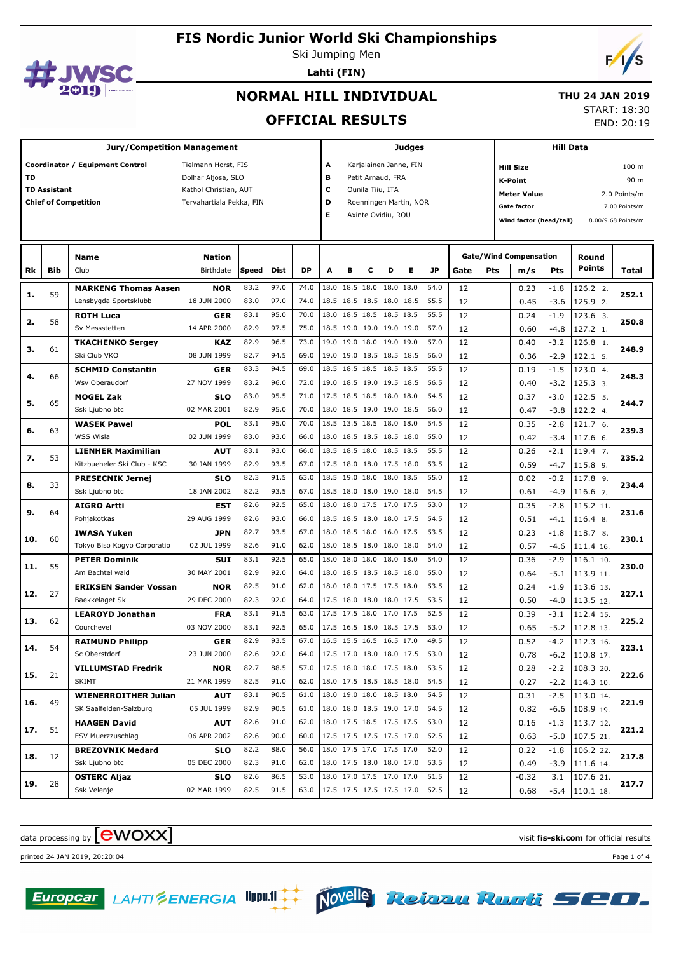

Ski Jumping Men **Lahti (FIN)**



# **NORMAL HILL INDIVIDUAL**

#### **THU 24 JAN 2019**

**OFFICIAL RESULTS**

START: 18:30

END: 20:19

|     | <b>Jury/Competition Management</b> |                                                                |                                                                                                |                      |                      |                      |                          |                                                                                                                                           |   |                                                                                  | Judges |                      |          | <b>Hill Data</b> |                                                                                                                                                                            |                  |                                 |       |
|-----|------------------------------------|----------------------------------------------------------------|------------------------------------------------------------------------------------------------|----------------------|----------------------|----------------------|--------------------------|-------------------------------------------------------------------------------------------------------------------------------------------|---|----------------------------------------------------------------------------------|--------|----------------------|----------|------------------|----------------------------------------------------------------------------------------------------------------------------------------------------------------------------|------------------|---------------------------------|-------|
| TD  | <b>TD Assistant</b>                | Coordinator / Equipment Control<br><b>Chief of Competition</b> | Tielmann Horst, FIS<br>Dolhar Aljosa, SLO<br>Kathol Christian, AUT<br>Tervahartiala Pekka, FIN |                      |                      |                      |                          | A<br>Karjalainen Janne, FIN<br>в<br>Petit Arnaud, FRA<br>С<br>Ounila Tiiu, ITA<br>D<br>Roenningen Martin, NOR<br>E.<br>Axinte Ovidiu, ROU |   |                                                                                  |        |                      |          |                  | 100 m<br><b>Hill Size</b><br>90 m<br><b>K-Point</b><br><b>Meter Value</b><br>2.0 Points/m<br>Gate factor<br>7.00 Points/m<br>Wind factor (head/tail)<br>8.00/9.68 Points/m |                  |                                 |       |
| Rk  | <b>Bib</b>                         | <b>Name</b><br>Club                                            | <b>Nation</b><br>Birthdate                                                                     | Speed Dist           |                      | <b>DP</b>            | A                        | в                                                                                                                                         | c | D                                                                                | Е      | <b>JP</b>            | Gate     | Pts              | <b>Gate/Wind Compensation</b><br>m/s                                                                                                                                       | Pts              | Round<br>Points                 | Total |
| 1.  | 59                                 | <b>MARKENG Thomas Aasen</b><br>Lensbygda Sportsklubb           | <b>NOR</b><br>18 JUN 2000                                                                      | 83.2<br>83.0         | 97.0<br>97.0         | 74.0<br>74.0         |                          |                                                                                                                                           |   | 18.0 18.5 18.0 18.0 18.0<br>18.5 18.5 18.5 18.0 18.5                             |        | 54.0<br>55.5         | 12<br>12 |                  | 0.23<br>0.45                                                                                                                                                               | $-1.8$<br>$-3.6$ | 126.2 2.<br>125.9 2.            | 252.1 |
| 2.  | 58                                 | <b>ROTH Luca</b><br>Sv Messstetten                             | <b>GER</b><br>14 APR 2000                                                                      | 83.1<br>82.9         | 95.0<br>97.5         | 70.0<br>75.0         |                          |                                                                                                                                           |   | 18.0 18.5 18.5 18.5 18.5<br>18.5 19.0 19.0 19.0 19.0                             |        | 55.5<br>57.0         | 12<br>12 |                  | 0.24<br>0.60                                                                                                                                                               | $-1.9$<br>$-4.8$ | 123.6 3.<br>127.2 1.            | 250.8 |
| з.  | 61                                 | <b>TKACHENKO Sergey</b><br>Ski Club VKO                        | KAZ<br>08 JUN 1999                                                                             | 82.9<br>82.7         | 96.5<br>94.5         | 73.0<br>69.0         |                          |                                                                                                                                           |   | 19.0 19.0 18.0 19.0 19.0<br>19.0 19.0 18.5 18.5 18.5                             |        | 57.0<br>56.0         | 12<br>12 |                  | 0.40<br>0.36                                                                                                                                                               | $-3.2$<br>$-2.9$ | 126.8 1.<br>122.1 5.            | 248.9 |
| 4.  | 66                                 | <b>SCHMID Constantin</b><br>Wsv Oberaudorf                     | <b>GER</b><br>27 NOV 1999                                                                      | 83.3<br>83.2         | 94.5<br>96.0         | 69.0<br>72.0         |                          |                                                                                                                                           |   | 18.5 18.5 18.5 18.5 18.5<br>19.0 18.5 19.0 19.5 18.5                             |        | 55.5<br>56.5         | 12<br>12 |                  | 0.19<br>0.40                                                                                                                                                               | $-1.5$<br>$-3.2$ | 123.0 4.<br>125.3 3.            | 248.3 |
| 5.  | 65                                 | <b>MOGEL Zak</b><br>Ssk Ljubno btc                             | <b>SLO</b><br>02 MAR 2001                                                                      | 83.0<br>82.9         | 95.5<br>95.0         | 71.0<br>70.0         |                          |                                                                                                                                           |   | 17.5 18.5 18.5 18.0 18.0<br>18.0 18.5 19.0 19.0 18.5                             |        | 54.5<br>56.0         | 12<br>12 |                  | 0.37<br>0.47                                                                                                                                                               | $-3.0$<br>$-3.8$ | 122.5 5.<br>122.2 4.            | 244.7 |
| 6.  | 63                                 | <b>WASEK Pawel</b><br>WSS Wisla                                | <b>POL</b><br>02 JUN 1999                                                                      | 83.1<br>83.0         | 95.0<br>93.0         | 70.0<br>66.0         |                          |                                                                                                                                           |   | 18.5 13.5 18.5 18.0 18.0<br>18.0 18.5 18.5 18.5 18.0                             |        | 54.5<br>55.0         | 12<br>12 |                  | 0.35<br>0.42                                                                                                                                                               | $-2.8$<br>$-3.4$ | 121.7 6.<br>117.6 6.            | 239.3 |
| 7.  | 53                                 | <b>LIENHER Maximilian</b><br>Kitzbueheler Ski Club - KSC       | <b>AUT</b><br>30 JAN 1999                                                                      | 83.1<br>82.9         | 93.0<br>93.5         | 66.0<br>67.0         |                          |                                                                                                                                           |   | 18.5 18.5 18.0 18.5 18.5<br>17.5 18.0 18.0 17.5 18.0                             |        | 55.5<br>53.5         | 12<br>12 |                  | 0.26<br>0.59                                                                                                                                                               | $-2.1$<br>$-4.7$ | 119.4 7.<br>115.8 9.            | 235.2 |
| 8.  | 33                                 | <b>PRESECNIK Jernej</b><br>Ssk Ljubno btc                      | <b>SLO</b><br>18 JAN 2002                                                                      | 82.3<br>82.2         | 91.5<br>93.5         | 63.0<br>67.0         |                          |                                                                                                                                           |   | 18.5 19.0 18.0 18.0 18.5<br>18.5 18.0 18.0 19.0 18.0                             |        | 55.0<br>54.5         | 12<br>12 |                  | 0.02<br>0.61                                                                                                                                                               | $-0.2$<br>$-4.9$ | 117.8 9.<br>116.6 7.            | 234.4 |
| 9.  | 64                                 | <b>AIGRO Artti</b><br>Pohjakotkas                              | <b>EST</b><br>29 AUG 1999                                                                      | 82.6<br>82.6         | 92.5<br>93.0         | 65.0<br>66.0         |                          |                                                                                                                                           |   | 18.0 18.0 17.5 17.0 17.5<br>18.5 18.5 18.0 18.0 17.5                             |        | 53.0<br>54.5         | 12<br>12 |                  | 0.35<br>0.51                                                                                                                                                               | $-2.8$<br>$-4.1$ | 115.2 11<br>116.4 8.            | 231.6 |
| 10. | 60                                 | <b>IWASA Yuken</b><br>Tokyo Biso Kogyo Corporatio              | <b>JPN</b><br>02 JUL 1999                                                                      | 82.7<br>82.6         | 93.5<br>91.0         | 67.0<br>62.0         |                          |                                                                                                                                           |   | 18.0 18.5 18.0 16.0 17.5<br>18.0 18.5 18.0 18.0 18.0                             |        | 53.5<br>54.0         | 12<br>12 |                  | 0.23<br>0.57                                                                                                                                                               | $-1.8$<br>$-4.6$ | 118.7 8.<br>111.4 16.           | 230.1 |
| 11. | 55                                 | <b>PETER Dominik</b><br>Am Bachtel wald                        | <b>SUI</b><br>30 MAY 2001                                                                      | 83.1<br>82.9         | 92.5<br>92.0         | 65.0<br>64.0         |                          |                                                                                                                                           |   | 18.0 18.0 18.0 18.0 18.0<br>18.0 18.5 18.5 18.5 18.0                             |        | 54.0<br>55.0         | 12<br>12 |                  | 0.36<br>0.64                                                                                                                                                               | $-2.9$<br>$-5.1$ | 116.1 10.<br>113.9 11.          | 230.0 |
| 12. | 27                                 | <b>ERIKSEN Sander Vossan</b><br>Baekkelaget Sk                 | <b>NOR</b><br>29 DEC 2000                                                                      | 82.5<br>82.3         | 91.0<br>92.0         | 62.0<br>64.0         |                          |                                                                                                                                           |   | 18.0 18.0 17.5 17.5 18.0<br>17.5 18.0 18.0 18.0 17.5<br>17.5 17.5 18.0 17.0 17.5 |        | 53.5<br>53.5         | 12<br>12 |                  | 0.24<br>0.50                                                                                                                                                               | $-1.9$<br>$-4.0$ | 113.6 13.<br>113.5 12.          | 227.1 |
| 13. | 62                                 | <b>LEAROYD Jonathan</b><br>Courchevel                          | <b>FRA</b><br>03 NOV 2000                                                                      | 83.1<br>83.1<br>82.9 | 91.5<br>92.5<br>93.5 | 63.0<br>65.0<br>67.0 |                          |                                                                                                                                           |   | 17.5 16.5 18.0 18.5 17.5<br>16.5 15.5 16.5 16.5 17.0                             |        | 52.5<br>53.0<br>49.5 | 12<br>12 |                  | 0.39<br>0.65                                                                                                                                                               | $-3.1$<br>$-5.2$ | 112.4 15.<br>112.8 13.          | 225.2 |
| 14. | 54                                 | <b>RAIMUND Philipp</b><br>Sc Oberstdorf                        | <b>GER</b><br>23 JUN 2000                                                                      | 82.6                 | 92.0<br>88.5         | 64.0<br>57.0         | 17.5 17.0 18.0 18.0 17.5 |                                                                                                                                           |   |                                                                                  |        | 53.0                 | 12<br>12 |                  | 0.52<br>0.78                                                                                                                                                               | $-4.2$           | 112.3 16.<br>$-6.2$   110.8 17. | 223.1 |
| 15. | 21                                 | <b>VILLUMSTAD Fredrik</b><br><b>SKIMT</b>                      | <b>NOR</b><br>21 MAR 1999                                                                      | 82.7<br>82.5         | 91.0                 | 62.0                 |                          |                                                                                                                                           |   | 17.5 18.0 18.0 17.5 18.0<br>18.0 17.5 18.5 18.5 18.0                             |        | 53.5<br>54.5         | 12<br>12 |                  | 0.28<br>0.27                                                                                                                                                               | $-2.2$           | 108.3 20.<br>$-2.2$   114.3 10. | 222.6 |
| 16. | 49                                 | <b>WIENERROITHER Julian</b><br>SK Saalfelden-Salzburg          | <b>AUT</b><br>05 JUL 1999                                                                      | 83.1<br>82.9         | 90.5<br>90.5         | 61.0<br>61.0         |                          |                                                                                                                                           |   | 18.0 19.0 18.0 18.5 18.0<br>18.0 18.0 18.5 19.0 17.0                             |        | 54.5<br>54.5         | 12<br>12 |                  | 0.31<br>0.82                                                                                                                                                               | $-2.5$<br>-6.6   | 113.0 14.<br>108.9 19.          | 221.9 |
| 17. | 51                                 | <b>HAAGEN David</b><br>ESV Muerzzuschlag                       | <b>AUT</b><br>06 APR 2002                                                                      | 82.6<br>82.6         | 91.0<br>90.0         | 62.0<br>60.0         |                          |                                                                                                                                           |   | 18.0 17.5 18.5 17.5 17.5<br>17.5 17.5 17.5 17.5 17.0                             |        | 53.0<br>52.5         | 12<br>12 |                  | 0.16<br>0.63                                                                                                                                                               | $-1.3$<br>$-5.0$ | 113.7 12.<br>107.5 21.          | 221.2 |
| 18. | 12                                 | <b>BREZOVNIK Medard</b><br>Ssk Ljubno btc                      | <b>SLO</b><br>05 DEC 2000                                                                      | 82.2<br>82.3         | 88.0<br>91.0         | 56.0<br>62.0         |                          |                                                                                                                                           |   | 18.0 17.5 17.0 17.5 17.0<br>18.0 17.5 18.0 18.0 17.0                             |        | 52.0<br>53.5         | 12<br>12 |                  | 0.22<br>0.49                                                                                                                                                               | $-1.8$<br>$-3.9$ | 106.2 22.<br>111.6 14.          | 217.8 |
| 19. | 28                                 | <b>OSTERC Aljaz</b><br>Ssk Velenje                             | <b>SLO</b><br>02 MAR 1999                                                                      | 82.6<br>82.5         | 86.5<br>91.5         | 53.0<br>63.0         | 17.5 17.5 17.5 17.5 17.0 |                                                                                                                                           |   | 18.0 17.0 17.5 17.0 17.0                                                         |        | 51.5<br>52.5         | 12<br>12 |                  | $-0.32$<br>0.68                                                                                                                                                            | 3.1              | 107.6 21.<br>$-5.4$   110.1 18. | 217.7 |

# data processing by **CWOXX** and  $\blacksquare$  and  $\blacksquare$  and  $\blacksquare$  and  $\blacksquare$  and  $\blacksquare$  and  $\blacksquare$  and  $\blacksquare$  and  $\blacksquare$  and  $\blacksquare$  and  $\blacksquare$  and  $\blacksquare$  and  $\blacksquare$  and  $\blacksquare$  and  $\blacksquare$  and  $\blacksquare$  and  $\blacksquare$  and  $\blacksquare$  and  $\blacks$

printed 24 JAN 2019, 20:20:04 Page 1 of 4



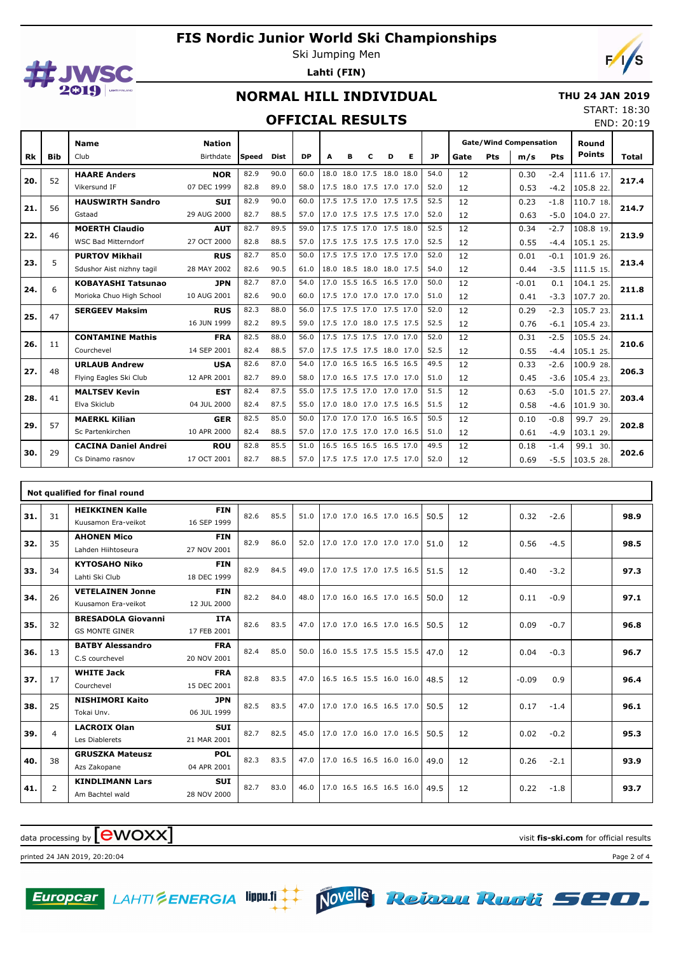

57

29

Sc Partenkirchen

**CACINA Daniel Andrei** Cs Dinamo rasnov

10 APR 2000

**ROU** 17 OCT 2001 Ski Jumping Men **Lahti (FIN)**



## **NORMAL HILL INDIVIDUAL**

#### **THU 24 JAN 2019** START: 18:30

#### **OFFICIAL RESULTS**

| <b>OFFICIAL RESULTS</b> |       |                            |               |       |             |           |   |   |                          |   |   |           |      |            | END: 20:19                    |            |               |       |
|-------------------------|-------|----------------------------|---------------|-------|-------------|-----------|---|---|--------------------------|---|---|-----------|------|------------|-------------------------------|------------|---------------|-------|
|                         |       | <b>Name</b>                | <b>Nation</b> |       |             |           |   |   |                          |   |   |           |      |            | <b>Gate/Wind Compensation</b> |            | Round         |       |
| <b>Rk</b>               | Bib   | Club                       | Birthdate     | Speed | <b>Dist</b> | <b>DP</b> | A | в | c                        | D | Е | <b>JP</b> | Gate | <b>Pts</b> | m/s                           | <b>Pts</b> | <b>Points</b> | Total |
| 20.                     | 52    | <b>HAARE Anders</b>        | <b>NOR</b>    | 82.9  | 90.0        | 60.0      |   |   | 18.0 18.0 17.5 18.0 18.0 |   |   | 54.0      | 12   |            | 0.30                          | $-2.4$     | 111.6 17.     | 217.4 |
|                         |       | Vikersund IF               | 07 DEC 1999   | 82.8  | 89.0        | 58.0      |   |   | 17.5 18.0 17.5 17.0 17.0 |   |   | 52.0      | 12   |            | 0.53                          | $-4.2$     | 105.8 22.     |       |
| 21.                     | 56    | <b>HAUSWIRTH Sandro</b>    | <b>SUI</b>    | 82.9  | 90.0        | 60.0      |   |   | 17.5 17.5 17.0 17.5 17.5 |   |   | 52.5      | 12   |            | 0.23                          | $-1.8$     | 110.7 18.     | 214.7 |
|                         |       | Gstaad                     | 29 AUG 2000   | 82.7  | 88.5        | 57.0      |   |   | 17.0 17.5 17.5 17.5 17.0 |   |   | 52.0      | 12   |            | 0.63                          | $-5.0$     | 104.0 27.     |       |
| 22.                     | 46    | <b>MOERTH Claudio</b>      | <b>AUT</b>    | 82.7  | 89.5        | 59.0      |   |   | 17.5 17.5 17.0 17.5 18.0 |   |   | 52.5      | 12   |            | 0.34                          | $-2.7$     | 108.8 19.     | 213.9 |
|                         |       | <b>WSC Bad Mitterndorf</b> | 27 OCT 2000   | 82.8  | 88.5        | 57.0      |   |   | 17.5 17.5 17.5 17.5 17.0 |   |   | 52.5      | 12   |            | 0.55                          | $-4.4$     | 105.1 25.     |       |
| 23.                     | 5     | <b>PURTOV Mikhail</b>      | <b>RUS</b>    | 82.7  | 85.0        | 50.0      |   |   | 17.5 17.5 17.0 17.5 17.0 |   |   | 52.0      | 12   |            | 0.01                          | $-0.1$     | 101.9 26.     | 213.4 |
|                         |       | Sdushor Aist nizhny tagil  | 28 MAY 2002   | 82.6  | 90.5        | 61.0      |   |   | 18.0 18.5 18.0 18.0 17.5 |   |   | 54.0      | 12   |            | 0.44                          | $-3.5$     | 111.5 15.     |       |
| 24.                     | 6     | <b>KOBAYASHI Tatsunao</b>  | <b>JPN</b>    | 82.7  | 87.0        | 54.0      |   |   | 17.0 15.5 16.5 16.5 17.0 |   |   | 50.0      | 12   |            | $-0.01$                       | 0.1        | 104.1 25.     | 211.8 |
|                         |       | Morioka Chuo High School   | 10 AUG 2001   | 82.6  | 90.0        | 60.0      |   |   | 17.5 17.0 17.0 17.0 17.0 |   |   | 51.0      | 12   |            | 0.41                          | $-3.3$     | 107.7 20.     |       |
| 25.                     | 47    | <b>SERGEEV Maksim</b>      | <b>RUS</b>    | 82.3  | 88.0        | 56.0      |   |   | 17.5 17.5 17.0 17.5 17.0 |   |   | 52.0      | 12   |            | 0.29                          | $-2.3$     | 105.7 23.     | 211.1 |
|                         |       |                            | 16 JUN 1999   | 82.2  | 89.5        | 59.0      |   |   | 17.5 17.0 18.0 17.5 17.5 |   |   | 52.5      | 12   |            | 0.76                          | $-6.1$     | 105.4 23      |       |
| 26.                     | 11    | <b>CONTAMINE Mathis</b>    | <b>FRA</b>    | 82.5  | 88.0        | 56.0      |   |   | 17.5 17.5 17.5 17.0 17.0 |   |   | 52.0      | 12   |            | 0.31                          | $-2.5$     | 105.5 24.     | 210.6 |
|                         |       | Courchevel                 | 14 SEP 2001   | 82.4  | 88.5        | 57.0      |   |   | 17.5 17.5 17.5 18.0 17.0 |   |   | 52.5      | 12   |            | 0.55                          | $-4.4$     | 105.1 25.     |       |
| 27.                     | 48    | <b>URLAUB Andrew</b>       | <b>USA</b>    | 82.6  | 87.0        | 54.0      |   |   | 17.0 16.5 16.5 16.5 16.5 |   |   | 49.5      | 12   |            | 0.33                          | $-2.6$     | 100.9 28.     | 206.3 |
|                         |       | Flying Eagles Ski Club     | 12 APR 2001   | 82.7  | 89.0        | 58.0      |   |   | 17.0 16.5 17.5 17.0 17.0 |   |   | 51.0      | 12   |            | 0.45                          | $-3.6$     | 105.4 23.     |       |
| 28.                     | 41    | <b>MALTSEV Kevin</b>       | <b>EST</b>    | 82.4  | 87.5        | 55.0      |   |   | 17.5 17.5 17.0 17.0 17.0 |   |   | 51.5      | 12   |            | 0.63                          | $-5.0$     | 101.5 27      | 203.4 |
|                         |       | Elva Skiclub               | 04 JUL 2000   | 82.4  | 87.5        | 55.0      |   |   | 17.0 18.0 17.0 17.5 16.5 |   |   | 51.5      | 12   |            | 0.58                          | $-4.6$     | 101.9 30.     |       |
| --                      | $- -$ | <b>MAERKL Kilian</b>       | <b>GER</b>    | 82.5  | 85.0        | 50.0      |   |   | 17.0 17.0 17.0 16.5 16.5 |   |   | 50.5      | 12   |            | 0.10                          | $-0.8$     | 99.7 29.      |       |

82.4 88.5 57.0 17.0 17.5 17.0 17.0 16.5 51.0 12 0.61 -4.9 103.1 29.

82.7 88.5 57.0 17.5 17.5 17.0 17.5 17.0 52.0 12 0.69 -5.5 103.5 28.

12

 12 12

|     | Not qualified for final round |                                                    |                           |      |      |      |                          |  |  |      |    |         |        |  |      |
|-----|-------------------------------|----------------------------------------------------|---------------------------|------|------|------|--------------------------|--|--|------|----|---------|--------|--|------|
| 31. | 31                            | <b>HEIKKINEN Kalle</b><br>Kuusamon Era-veikot      | <b>FIN</b><br>16 SEP 1999 | 82.6 | 85.5 | 51.0 | 17.0 17.0 16.5 17.0 16.5 |  |  | 50.5 | 12 | 0.32    | $-2.6$ |  | 98.9 |
| 32. | 35                            | <b>AHONEN Mico</b><br>Lahden Hiihtoseura           | <b>FIN</b><br>27 NOV 2001 | 82.9 | 86.0 | 52.0 | 17.0 17.0 17.0 17.0 17.0 |  |  | 51.0 | 12 | 0.56    | $-4.5$ |  | 98.5 |
| 33. | 34                            | <b>KYTOSAHO Niko</b><br>Lahti Ski Club             | <b>FIN</b><br>18 DEC 1999 | 82.9 | 84.5 | 49.0 | 17.0 17.5 17.0 17.5 16.5 |  |  | 51.5 | 12 | 0.40    | $-3.2$ |  | 97.3 |
| 34. | 26                            | <b>VETELAINEN Jonne</b><br>Kuusamon Era-veikot     | <b>FIN</b><br>12 JUL 2000 | 82.2 | 84.0 | 48.0 | 17.0 16.0 16.5 17.0 16.5 |  |  | 50.0 | 12 | 0.11    | $-0.9$ |  | 97.1 |
| 35. | 32                            | <b>BRESADOLA Giovanni</b><br><b>GS MONTE GINER</b> | <b>ITA</b><br>17 FEB 2001 | 82.6 | 83.5 | 47.0 | 17.0 17.0 16.5 17.0 16.5 |  |  | 50.5 | 12 | 0.09    | $-0.7$ |  | 96.8 |
| 36. | 13                            | <b>BATBY Alessandro</b><br>C.S courchevel          | <b>FRA</b><br>20 NOV 2001 | 82.4 | 85.0 | 50.0 | 16.0 15.5 17.5 15.5 15.5 |  |  | 47.0 | 12 | 0.04    | $-0.3$ |  | 96.7 |
| 37. | 17                            | <b>WHITE Jack</b><br>Courchevel                    | <b>FRA</b><br>15 DEC 2001 | 82.8 | 83.5 | 47.0 | 16.5 16.5 15.5 16.0 16.0 |  |  | 48.5 | 12 | $-0.09$ | 0.9    |  | 96.4 |
| 38. | 25                            | <b>NISHIMORI Kaito</b><br>Tokai Unv.               | <b>JPN</b><br>06 JUL 1999 | 82.5 | 83.5 | 47.0 | 17.0 17.0 16.5 16.5 17.0 |  |  | 50.5 | 12 | 0.17    | $-1.4$ |  | 96.1 |
| 39. | $\overline{4}$                | <b>LACROIX Olan</b><br>Les Diablerets              | <b>SUI</b><br>21 MAR 2001 | 82.7 | 82.5 | 45.0 | 17.0 17.0 16.0 17.0 16.5 |  |  | 50.5 | 12 | 0.02    | $-0.2$ |  | 95.3 |
| 40. | 38                            | <b>GRUSZKA Mateusz</b><br>Azs Zakopane             | <b>POL</b><br>04 APR 2001 | 82.3 | 83.5 | 47.0 | 17.0 16.5 16.5 16.0 16.0 |  |  | 49.0 | 12 | 0.26    | $-2.1$ |  | 93.9 |
| 41. | 2                             | <b>KINDLIMANN Lars</b><br>Am Bachtel wald          | <b>SUI</b><br>28 NOV 2000 | 82.7 | 83.0 | 46.0 | 17.0 16.5 16.5 16.5 16.0 |  |  | 49.5 | 12 | 0.22    | $-1.8$ |  | 93.7 |

**29. 202.8**

**30. 202.6**

82.8 85.5 51.0 16.5 16.5 16.5 16.5 17.0 49.5

# $\alpha$  data processing by  $\boxed{\text{ewOX}}$

printed 24 JAN 2019, 20:20:04 Page 2 of 4





-4.9

-1.4 -5.5 99.1 30.

0.61

 $0.18$ 0.69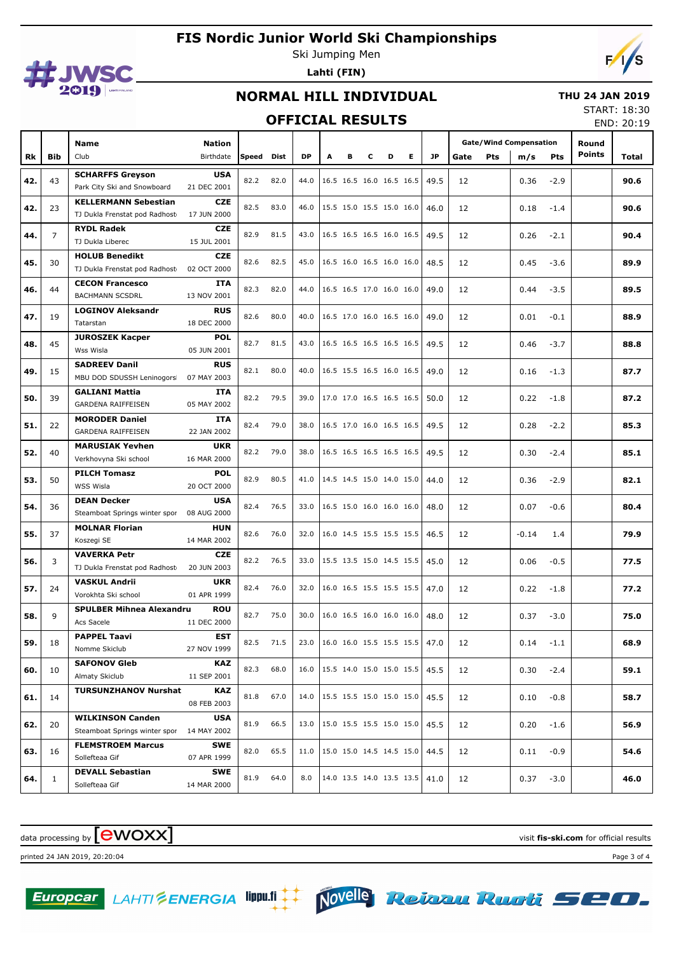

Ski Jumping Men **Lahti (FIN)**



## **NORMAL HILL INDIVIDUAL**

#### **THU 24 JAN 2019**

#### **OFFICIAL RESULTS**

START: 18:30 END: 20:19

|     |                |                                                  |                           |           |      | UI I IUIML NLJULIJ |                          |   |                          |   |   |      |                               |     |         |            |               | END: 20:19 |
|-----|----------------|--------------------------------------------------|---------------------------|-----------|------|--------------------|--------------------------|---|--------------------------|---|---|------|-------------------------------|-----|---------|------------|---------------|------------|
|     |                | Name                                             | <b>Nation</b>             |           |      |                    |                          |   |                          |   |   |      | <b>Gate/Wind Compensation</b> |     | Round   |            |               |            |
| Rk  | Bib            | Club                                             | Birthdate                 | Speed     | Dist | <b>DP</b>          |                          | в | c                        | D | Е | JP   | Gate                          | Pts | m/s     | <b>Pts</b> | <b>Points</b> | Total      |
|     |                | <b>SCHARFFS Greyson</b>                          | <b>USA</b>                |           |      |                    |                          |   |                          |   |   |      |                               |     |         |            |               |            |
| 42. | 43             | Park City Ski and Snowboard                      | 21 DEC 2001               | 82.2      | 82.0 | 44.0               |                          |   | 16.5 16.5 16.0 16.5 16.5 |   |   | 49.5 | 12                            |     | 0.36    | $-2.9$     |               | 90.6       |
| 42. | 23             | <b>KELLERMANN Sebestian</b>                      | <b>CZE</b>                | 82.5      | 83.0 | 46.0               | 15.5 15.0 15.5 15.0 16.0 |   |                          |   |   | 46.0 | 12                            |     | 0.18    | $-1.4$     |               | 90.6       |
|     |                | TJ Dukla Frenstat pod Radhost                    | 17 JUN 2000               |           |      |                    |                          |   |                          |   |   |      |                               |     |         |            |               |            |
| 44. | $\overline{7}$ | <b>RYDL Radek</b>                                | <b>CZE</b>                | 82.9      | 81.5 | 43.0               | 16.5 16.5 16.5 16.0 16.5 |   |                          |   |   | 49.5 | 12                            |     | 0.26    | $-2.1$     |               | 90.4       |
|     |                | TJ Dukla Liberec                                 | 15 JUL 2001               |           |      |                    |                          |   |                          |   |   |      |                               |     |         |            |               |            |
| 45. | 30             | <b>HOLUB Benedikt</b>                            | <b>CZE</b>                | 82.6      | 82.5 | 45.0               | 16.5 16.0 16.5 16.0 16.0 |   |                          |   |   | 48.5 | 12                            |     | 0.45    | $-3.6$     |               | 89.9       |
|     |                | TJ Dukla Frenstat pod Radhost                    | 02 OCT 2000               |           |      |                    |                          |   |                          |   |   |      |                               |     |         |            |               |            |
| 46. | 44             | <b>CECON Francesco</b><br><b>BACHMANN SCSDRL</b> | ITA<br>13 NOV 2001        | 82.3      | 82.0 | 44.0               | 16.5 16.5 17.0 16.0 16.0 |   |                          |   |   | 49.0 | 12                            |     | 0.44    | $-3.5$     |               | 89.5       |
|     |                | <b>LOGINOV Aleksandr</b>                         | <b>RUS</b>                |           |      |                    |                          |   |                          |   |   |      |                               |     |         |            |               |            |
| 47. | 19             | Tatarstan                                        | 18 DEC 2000               | 82.6      | 80.0 | 40.0               | 16.5 17.0 16.0 16.5 16.0 |   |                          |   |   | 49.0 | 12                            |     | 0.01    | $-0.1$     |               | 88.9       |
|     |                | <b>JUROSZEK Kacper</b>                           | <b>POL</b>                |           |      |                    |                          |   |                          |   |   |      |                               |     |         |            |               |            |
| 48. | 45             | Wss Wisla                                        | 05 JUN 2001               | 82.7      | 81.5 | 43.0               | 16.5 16.5 16.5 16.5 16.5 |   |                          |   |   | 49.5 | 12                            |     | 0.46    | $-3.7$     |               | 88.8       |
|     |                | <b>SADREEV Danil</b>                             | <b>RUS</b>                |           |      |                    |                          |   |                          |   |   |      |                               |     |         |            |               |            |
| 49. | 15             | MBU DOD SDUSSH Leninogors                        | 07 MAY 2003               | 82.1      | 80.0 | 40.0               | 16.5 15.5 16.5 16.0 16.5 |   |                          |   |   | 49.0 | 12                            |     | 0.16    | $-1.3$     |               | 87.7       |
| 50. | 39             | <b>GALIANI Mattia</b>                            | ITA                       | 82.2      | 79.5 | 39.0               | 17.0 17.0 16.5 16.5 16.5 |   |                          |   |   | 50.0 | 12                            |     | 0.22    | $-1.8$     |               | 87.2       |
|     |                | GARDENA RAIFFEISEN                               | 05 MAY 2002               |           |      |                    |                          |   |                          |   |   |      |                               |     |         |            |               |            |
| 51. | 22             | <b>MORODER Daniel</b>                            | ITA                       | 82.4      | 79.0 | 38.0               | 16.5 17.0 16.0 16.5 16.5 |   |                          |   |   | 49.5 | 12                            |     | 0.28    | $-2.2$     |               | 85.3       |
|     |                | <b>GARDENA RAIFFEISEN</b>                        | 22 JAN 2002               |           |      |                    |                          |   |                          |   |   |      |                               |     |         |            |               |            |
| 52. | 40             | <b>MARUSIAK Yevhen</b><br>Verkhovyna Ski school  | <b>UKR</b><br>16 MAR 2000 | 82.2      | 79.0 | 38.0               | 16.5 16.5 16.5 16.5 16.5 |   |                          |   |   | 49.5 | 12                            |     | 0.30    | $-2.4$     |               | 85.1       |
|     |                | <b>PILCH Tomasz</b>                              | <b>POL</b>                |           |      |                    |                          |   |                          |   |   |      |                               |     |         |            |               |            |
| 53. | 50             | <b>WSS Wisla</b>                                 | 20 OCT 2000               | 82.9      | 80.5 | 41.0               | 14.5 14.5 15.0 14.0 15.0 |   |                          |   |   | 44.0 | 12                            |     | 0.36    | $-2.9$     |               | 82.1       |
|     |                | <b>DEAN Decker</b>                               | <b>USA</b>                |           |      |                    |                          |   |                          |   |   |      |                               |     |         |            |               |            |
| 54. | 36             | Steamboat Springs winter spor                    | 08 AUG 2000               | 82.4      | 76.5 | 33.0               | 16.5 15.0 16.0 16.0 16.0 |   |                          |   |   | 48.0 | 12                            |     | 0.07    | $-0.6$     |               | 80.4       |
|     |                | <b>MOLNAR Florian</b>                            | <b>HUN</b>                |           |      |                    |                          |   |                          |   |   |      |                               |     |         |            |               |            |
| 55. | 37             | Koszegi SE                                       | 14 MAR 2002               | 82.6      | 76.0 | 32.0               | 16.0 14.5 15.5 15.5 15.5 |   |                          |   |   | 46.5 | 12                            |     | $-0.14$ | 1.4        |               | 79.9       |
| 56. | 3              | <b>VAVERKA Petr</b>                              | <b>CZE</b>                | 82.2      | 76.5 | 33.0               | 15.5 13.5 15.0 14.5 15.5 |   |                          |   |   | 45.0 | 12                            |     | 0.06    | $-0.5$     |               | 77.5       |
|     |                | TJ Dukla Frenstat pod Radhost                    | 20 JUN 2003               |           |      |                    |                          |   |                          |   |   |      |                               |     |         |            |               |            |
| 57. | 24             | <b>VASKUL Andrii</b>                             | <b>UKR</b>                | 82.4      | 76.0 | 32.0               | 16.0 16.5 15.5 15.5 15.5 |   |                          |   |   | 47.0 | 12                            |     | 0.22    | $-1.8$     |               | 77.2       |
|     |                | Vorokhta Ski school                              | 01 APR 1999               |           |      |                    |                          |   |                          |   |   |      |                               |     |         |            |               |            |
| 58. | 9              | <b>SPULBER Mihnea Alexandru</b><br>Acs Sacele    | <b>ROU</b><br>11 DEC 2000 | 82.7      | 75.0 | 30.0               | 16.0 16.5 16.0 16.0 16.0 |   |                          |   |   | 48.0 | 12                            |     | 0.37    | $-3.0$     |               | 75.0       |
|     |                | <b>PAPPEL Taavi</b>                              | EST                       |           |      |                    |                          |   |                          |   |   |      |                               |     |         |            |               |            |
| 59. | 18             | Nomme Skiclub                                    | 27 NOV 1999               | 82.5 71.5 |      | 23.0               | 16.0 16.0 15.5 15.5 15.5 |   |                          |   |   | 47.0 | 12                            |     | 0.14    | $-1.1$     |               | 68.9       |
|     |                | <b>SAFONOV Gleb</b>                              | KAZ                       |           |      |                    |                          |   |                          |   |   |      |                               |     |         |            |               |            |
| 60. | 10             | Almaty Skiclub                                   | 11 SEP 2001               | 82.3      | 68.0 | 16.0               | 15.5 14.0 15.0 15.0 15.5 |   |                          |   |   | 45.5 | 12                            |     | 0.30    | $-2.4$     |               | 59.1       |
| 61. | 14             | <b>TURSUNZHANOV Nurshat</b>                      | KAZ                       | 81.8      | 67.0 | 14.0               | 15.5 15.5 15.0 15.0 15.0 |   |                          |   |   | 45.5 | 12                            |     | 0.10    | $-0.8$     |               | 58.7       |
|     |                |                                                  | 08 FEB 2003               |           |      |                    |                          |   |                          |   |   |      |                               |     |         |            |               |            |
| 62. | 20             | <b>WILKINSON Canden</b>                          | <b>USA</b>                | 81.9      | 66.5 | 13.0               | 15.0 15.5 15.5 15.0 15.0 |   |                          |   |   | 45.5 | 12                            |     | 0.20    | $-1.6$     |               | 56.9       |
|     |                | Steamboat Springs winter spor                    | 14 MAY 2002               |           |      |                    |                          |   |                          |   |   |      |                               |     |         |            |               |            |
| 63. | 16             | <b>FLEMSTROEM Marcus</b>                         | <b>SWE</b>                | 82.0      | 65.5 | 11.0               | 15.0 15.0 14.5 14.5 15.0 |   |                          |   |   | 44.5 | 12                            |     | 0.11    | $-0.9$     |               | 54.6       |
|     |                | Sollefteaa Gif                                   | 07 APR 1999               |           |      |                    |                          |   |                          |   |   |      |                               |     |         |            |               |            |
| 64. | $\mathbf{1}$   | <b>DEVALL Sebastian</b><br>Sollefteaa Gif        | <b>SWE</b><br>14 MAR 2000 | 81.9      | 64.0 | 8.0                | 14.0 13.5 14.0 13.5 13.5 |   |                          |   |   | 41.0 | 12                            |     | 0.37    | $-3.0$     |               | 46.0       |
|     |                |                                                  |                           |           |      |                    |                          |   |                          |   |   |      |                               |     |         |            |               |            |

data processing by **CWOXX** and  $\blacksquare$  and  $\blacksquare$  and  $\blacksquare$  and  $\blacksquare$  and  $\blacksquare$  and  $\blacksquare$  and  $\blacksquare$  and  $\blacksquare$  and  $\blacksquare$  and  $\blacksquare$  and  $\blacksquare$  and  $\blacksquare$  and  $\blacksquare$  and  $\blacksquare$  and  $\blacksquare$  and  $\blacksquare$  and  $\blacksquare$  and  $\blacks$ 

printed 24 JAN 2019, 20:20:04 Page 3 of 4